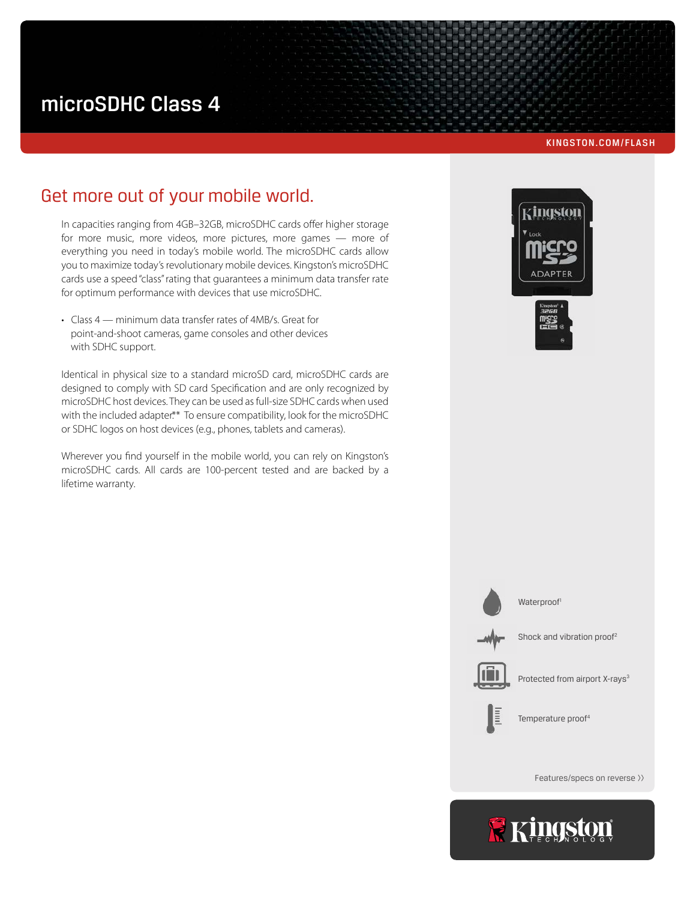# microSDHC Class 4

#### KINGSTON.COM/FLASH

# Get more out of your mobile world.

In capacities ranging from 4GB–32GB, microSDHC cards offer higher storage for more music, more videos, more pictures, more games — more of everything you need in today's mobile world. The microSDHC cards allow you to maximize today's revolutionary mobile devices. Kingston's microSDHC cards use a speed "class" rating that guarantees a minimum data transfer rate for optimum performance with devices that use microSDHC.

• Class 4 — minimum data transfer rates of 4MB/s. Great for point-and-shoot cameras, game consoles and other devices with SDHC support.

Identical in physical size to a standard microSD card, microSDHC cards are designed to comply with SD card Specification and are only recognized by microSDHC host devices. They can be used as full-size SDHC cards when used with the included adapter.\*\* To ensure compatibility, look for the microSDHC or SDHC logos on host devices (e.g., phones, tablets and cameras).

Wherever you find yourself in the mobile world, you can rely on Kingston's microSDHC cards. All cards are 100-percent tested and are backed by a lifetime warranty.







Waterproof<sup>1</sup>

Shock and vibration proof<sup>2</sup>



Protected from airport X-rays<sup>3</sup>



Temperature proof<sup>4</sup>

Features/specs on reverse >>